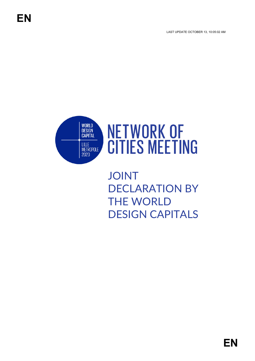LAST UPDATE OCTOBER 13, 10:05:02 AM



# **NETWORK OF CITIES MEETING**

JOINT DECLARATION BY THE WORLD DESIGN CAPITALS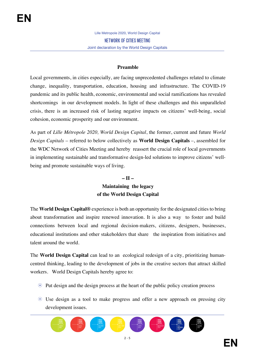#### **Preamble**

Local governments, in cities especially, are facing unprecedented challenges related to climate change, inequality, transportation, education, housing and infrastructure. The COVID-19 pandemic and its public health, economic, environmental and social ramifications has revealed shortcomings in our development models. In light of these challenges and this unparalleled crisis, there is an increased risk of lasting negative impacts on citizens' well-being, social cohesion, economic prosperity and our environment.

As part of *Lille Métropole 2020, World Design Capital*, the former, current and future *World Design Capitals* – referred to below collectively as **World Design Capitals** –, assembled for the WDC Network of Cities Meeting and hereby reassert the crucial role of local governments in implementing sustainable and transformative design-led solutions to improve citizens' wellbeing and promote sustainable ways of living.

#### **– II –**

## **Maintaining the legacy of the World Design Capital**

The **World Design Capital®** experience is both an opportunity for the designated cities to bring about transformation and inspire renewed innovation. It is also a way to foster and build connections between local and regional decision-makers, citizens, designers, businesses, educational institutions and other stakeholders that share the inspiration from initiatives and talent around the world.

The **World Design Capital** can lead to an ecological redesign of a city, prioritizing humancentred thinking, leading to the development of jobs in the creative sectors that attract skilled workers. World Design Capitals hereby agree to:

- $\odot$  Put design and the design process at the heart of the public policy creation process
- Use design as a tool to make progress and offer a new approach on pressing city development issues.

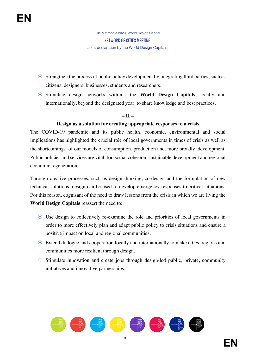- $\odot$  Strengthen the process of public policy development by integrating third parties, such as citizens, designers, businesses, students and researchers.
- Stimulate design networks within the **World Design Capitals,** locally and internationally, beyond the designated year, to share knowledge and best practices.

#### **– II –**

#### **Design as a solution for creating appropriate responses to a crisis**

The COVID-19 pandemic and its public health, economic, environmental and social implications has highlighted the crucial role of local governments in times of crisis as well as the shortcomings of our models of consumption, production and, more broadly, development. Public policies and services are vital for social cohesion, sustainable development and regional economic regeneration.

Through creative processes, such as design thinking, co-design and the formulation of new technical solutions, design can be used to develop emergency responses to critical situations. For this reason, cognisant of the need to draw lessons from the crisis in which we are living the **World Design Capitals** reassert the need to:

- Use design to collectively re-examine the role and priorities of local governments in order to more effectively plan and adapt public policy to crisis situations and ensure a positive impact on local and regional communities.
- Extend dialogue and cooperation locally and internationally to make cities, regions and communities more resilient through design.
- $\odot$  Stimulate innovation and create jobs through design-led public, private, community initiatives and innovative partnerships.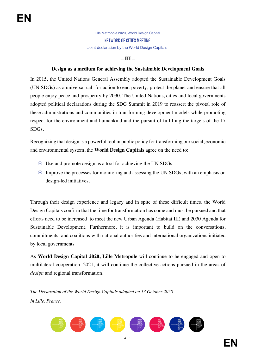### **– III –**

#### **Design as a medium for achieving the Sustainable Development Goals**

In 2015, the United Nations General Assembly adopted the Sustainable Development Goals (UN SDGs) as a universal call for action to end poverty, protect the planet and ensure that all people enjoy peace and prosperity by 2030. The United Nations, cities and local governments adopted political declarations during the SDG Summit in 2019 to reassert the pivotal role of these administrations and communities in transforming development models while promoting respect for the environment and humankind and the pursuit of fulfilling the targets of the 17 SDGs.

Recognizing that design is a powerful tool in public policy for transforming our social, economic and environmental system, the **World Design Capitals** agree on the need to:

- Use and promote design as a tool for achieving the UN SDGs.
- $\odot$  Improve the processes for monitoring and assessing the UN SDGs, with an emphasis on design-led initiatives.

Through their design experience and legacy and in spite of these difficult times, the World Design Capitals confirm that the time for transformation has come and must be pursued and that efforts need to be increased to meet the new Urban Agenda (Habitat III) and 2030 Agenda for Sustainable Development. Furthermore, it is important to build on the conversations, commitments and coalitions with national authorities and international organizations initiated by local governments

As **World Design Capital 2020, Lille Metropole** will continue to be engaged and open to multilateral cooperation. 2021, it will continue the collective actions pursued in the areas of *design* and regional transformation.

*The Declaration of the World Design Capitals adopted on 13 October 2020. In Lille, France.*